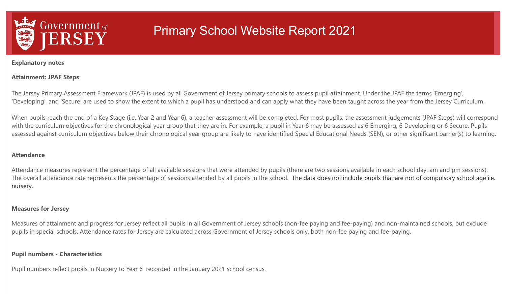

**Explanatory notes**

### **Attainment: JPAF Steps**

The Jersey Primary Assessment Framework (JPAF) is used by all Government of Jersey primary schools to assess pupil attainment. Under the JPAF the terms 'Emerging', 'Developing', and 'Secure' are used to show the extent to which a pupil has understood and can apply what they have been taught across the year from the Jersey Curriculum.

When pupils reach the end of a Key Stage (i.e. Year 2 and Year 6), a teacher assessment will be completed. For most pupils, the assessment judgements (JPAF Steps) will correspond with the curriculum objectives for the chronological year group that they are in. For example, a pupil in Year 6 may be assessed as 6 Emerging, 6 Developing or 6 Secure. Pupils assessed against curriculum objectives below their chronological year group are likely to have identified Special Educational Needs (SEN), or other significant barrier(s) to learning.

#### **Attendance**

Attendance measures represent the percentage of all available sessions that were attended by pupils (there are two sessions available in each school day: am and pm sessions). The overall attendance rate represents the percentage of sessions attended by all pupils in the school. The data does not include pupils that are not of compulsory school age i.e. nursery.

#### **Measures for Jersey**

Measures of attainment and progress for Jersey reflect all pupils in all Government of Jersey schools (non-fee paying and fee-paying) and non-maintained schools, but exclude pupils in special schools. Attendance rates for Jersey are calculated across Government of Jersey schools only, both non-fee paying and fee-paying.

### **Pupil numbers - Characteristics**

Pupil numbers reflect pupils in Nursery to Year 6 recorded in the January 2021 school census.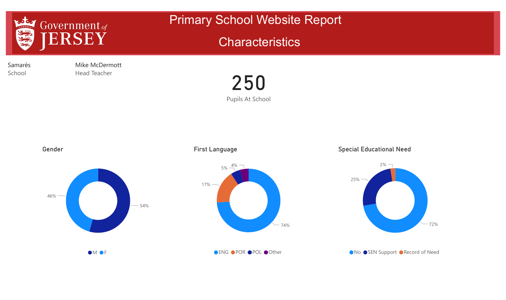

## **Characteristics**

Samarès School

Mike McDermott Head Teacher



Gender







Special Educational Need



OM OF

● ENG ● POR ● POL ● Other

● No ● SEN Support ● Record of Need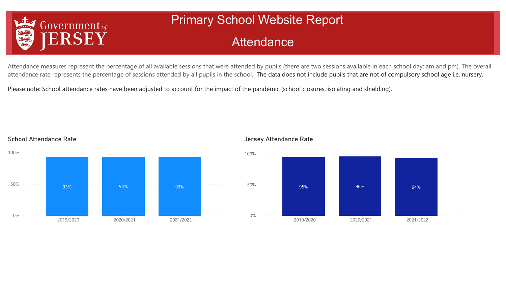

School Attendance Rate

# Primary School Website Report

## **Attendance**

Attendance measures represent the percentage of all available sessions that were attended by pupils (there are two sessions available in each school day: am and pm). The overall attendance rate represents the percentage of sessions attended by all pupils in the school. The data does not include pupils that are not of compulsory school age i.e. nursery.

Please note: School attendance rates have been adjusted to account for the impact of the pandemic (school closures, isolating and shielding).



### Jersey Attendance Rate

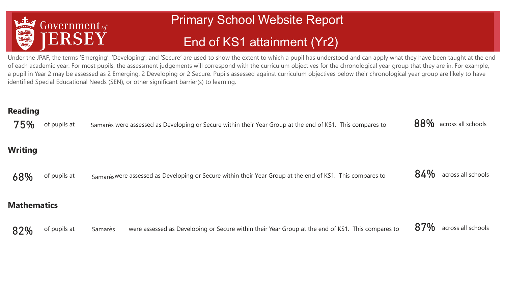

# End of KS1 attainment (Yr2)

Under the JPAF, the terms 'Emerging', 'Developing', and 'Secure' are used to show the extent to which a pupil has understood and can apply what they have been taught at the end of each academic year. For most pupils, the assessment judgements will correspond with the curriculum objectives for the chronological year group that they are in. For example, a pupil in Year 2 may be assessed as 2 Emerging, 2 Developing or 2 Secure. Pupils assessed against curriculum objectives below their chronological year group are likely to have identified Special Educational Needs (SEN), or other significant barrier(s) to learning.

| <b>Reading</b><br>75% | of pupils at | Samarès were assessed as Developing or Secure within their Year Group at the end of KS1. This compares to    | 88% across all schools    |
|-----------------------|--------------|--------------------------------------------------------------------------------------------------------------|---------------------------|
| <b>Writing</b>        |              |                                                                                                              |                           |
| 68%                   | of pupils at | Samarès were assessed as Developing or Secure within their Year Group at the end of KS1. This compares to    | 84%<br>across all schools |
| <b>Mathematics</b>    |              |                                                                                                              |                           |
| 82%                   | of pupils at | were assessed as Developing or Secure within their Year Group at the end of KS1. This compares to<br>Samarès | 87%<br>across all schools |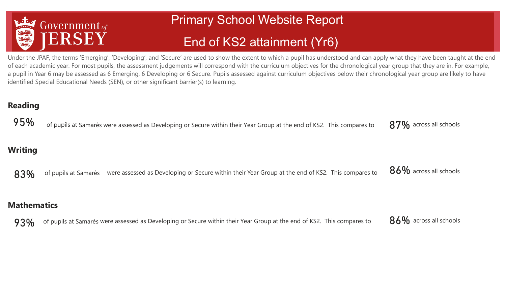

# End of KS2 attainment (Yr6)

Under the JPAF, the terms 'Emerging', 'Developing', and 'Secure' are used to show the extent to which a pupil has understood and can apply what they have been taught at the end of each academic year. For most pupils, the assessment judgements will correspond with the curriculum objectives for the chronological year group that they are in. For example, a pupil in Year 6 may be assessed as 6 Emerging, 6 Developing or 6 Secure. Pupils assessed against curriculum objectives below their chronological year group are likely to have identified Special Educational Needs (SEN), or other significant barrier(s) to learning.

### **Reading**

95% of pupils at Samarès were assessed as Developing or Secure within their Year Group at the end of KS2. This compares to 87% across all schools

### **Writing**

83% of pupils at Samarès were assessed as Developing or Secure within their Year Group at the end of KS2. This compares to

86% across all schools

### **Mathematics**

93% of pupils at Samarès were assessed as Developing or Secure within their Year Group at the end of KS2. This compares to

86% across all schools